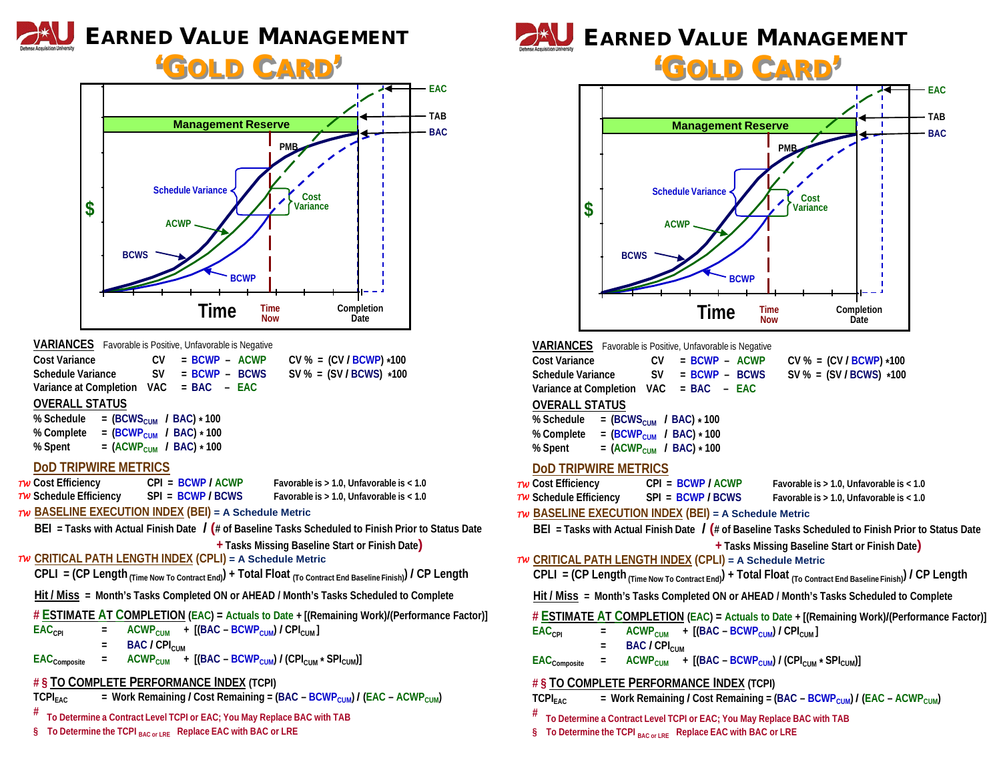# EARNED VALUE MANAGEMENT

# 'GOLD CARD'



- **# To Determine a Contract Level TCPI or EAC; You May Replace BAC with TAB**
- **§ To Determine the TCPI BAC or LRE Replace EAC with BAC or LRE**



| <b>OLD CARD</b>                                                                                                                                 |                                                                                                                                                                                                                                                                                                                             |  |  |  |
|-------------------------------------------------------------------------------------------------------------------------------------------------|-----------------------------------------------------------------------------------------------------------------------------------------------------------------------------------------------------------------------------------------------------------------------------------------------------------------------------|--|--|--|
|                                                                                                                                                 | - EAC                                                                                                                                                                                                                                                                                                                       |  |  |  |
|                                                                                                                                                 | <b>TAB</b>                                                                                                                                                                                                                                                                                                                  |  |  |  |
| \$                                                                                                                                              | <b>Management Reserve</b><br><b>BAC</b><br><b>PMB</b><br><b>Schedule Variance</b><br>Cost<br>Variance<br><b>ACWP</b><br><b>BCWS</b><br><b>BCWP</b><br>Completion<br><b>Time</b><br>Time<br><b>Now</b><br>Date                                                                                                               |  |  |  |
| <b>Cost Variance</b><br><b>Schedule Variance</b><br><b>OVERALL STATUS</b><br>% Schedule<br>% Complete<br>% Spent<br><b>DOD TRIPWIRE METRICS</b> | <b>VARIANCES</b> Favorable is Positive, Unfavorable is Negative<br>CV<br>$= BCWP - ACWP$<br>$CV % = (CV / BCWP) * 100$<br>$= BCWP - BCWS$<br><b>SV</b><br>$SV$ % = (SV/BCWS) *100<br>Variance at Completion VAC = BAC - EAC<br>= $(BCWS_{CUM}$ / BAC) * 100<br>= $(BCWP_{CUM}$ / BAC) * 100<br>= $(ACWP_{CUM}$ / BAC) * 100 |  |  |  |
| Tw Cost Efficiency<br>Tw Schedule Efficiency                                                                                                    | $CPI = BCWP / ACWP$<br>Favorable is > 1.0, Unfavorable is < 1.0<br>$SPI = BCWP/BCWS$<br>Favorable is > 1.0, Unfavorable is < 1.0<br>TW BASELINE EXECUTION INDEX (BEI) = A Schedule Metric                                                                                                                                   |  |  |  |
|                                                                                                                                                 | BEI = Tasks with Actual Finish Date $\int (\# \text{ of Baseline Tasks Scheduled to Finish Prior to Status Date})$<br>+ Tasks Missing Baseline Start or Finish Date)                                                                                                                                                        |  |  |  |
|                                                                                                                                                 | TW CRITICAL PATH LENGTH INDEX (CPLI) = A Schedule Metric<br>CPLI = (CP Length $_{(Time\ Now\ To\ Contract\ End)}$ ) + Total Float $_{(To\ Contract\ End\ Baseline\ Finsh)}$ / CP Length                                                                                                                                     |  |  |  |
|                                                                                                                                                 | Hit / Miss = Month's Tasks Completed ON or AHEAD / Month's Tasks Scheduled to Complete                                                                                                                                                                                                                                      |  |  |  |
| EAC <sub>CPI</sub>                                                                                                                              | # ESTIMATE AT COMPLETION (EAC) = Actuals to Date + [(Remaining Work)/(Performance Factor)]<br>+ $[(BAC - BCWP_{CUM}) / CPI_{CUM}]$<br><b>ACWP<sub>CUM</sub></b><br>$=$                                                                                                                                                      |  |  |  |

**BAC /** CPI<sub>CUM</sub>

 $EAC_{\text{Composite}}$  =  $ACWP_{\text{CUM}}$  +  $[(BAC - BCWP_{\text{CUM}}) / (CPI_{\text{CUM}} \cdot SPI_{\text{CUM}})]$ 

## **# § TO COMPLETE PERFORMANCE INDEX (TCPI)**

| <b>TCPI<sub>EAC</sub></b> | = Work Remaining / Cost Remaining = (BAC - BCWP <sub>CUM</sub> ) / (EAC - ACWP <sub>CUM</sub> ) |  |  |  |  |
|---------------------------|-------------------------------------------------------------------------------------------------|--|--|--|--|
|---------------------------|-------------------------------------------------------------------------------------------------|--|--|--|--|

**# To Determine a Contract Level TCPI or EAC; You May Replace BAC with TAB**

**§ To Determine the TCPI BAC or LRE Replace EAC with BAC or LRE**